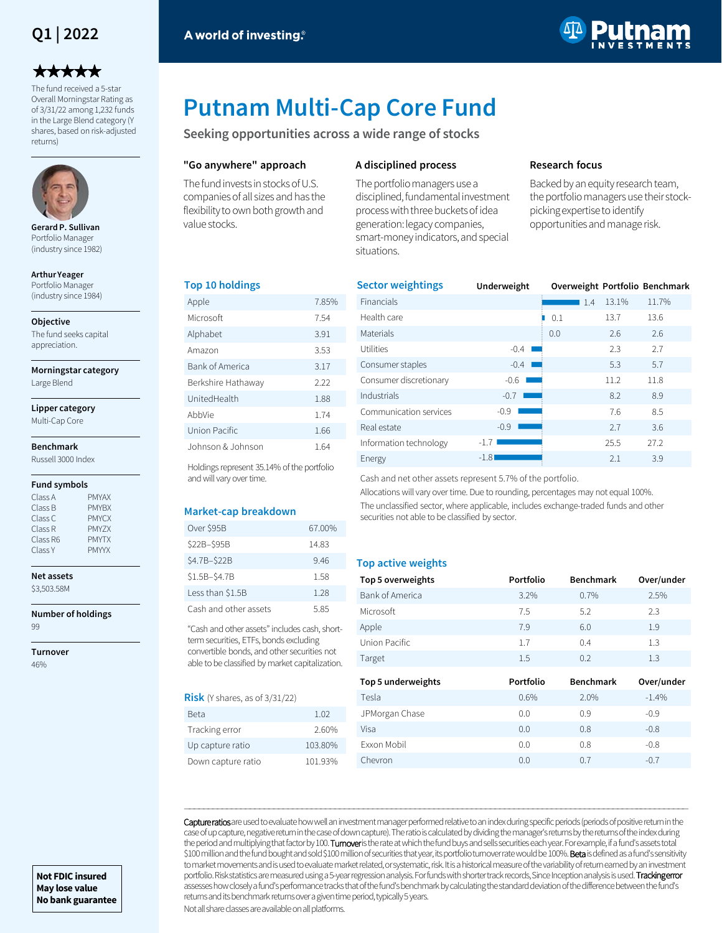## **Q1 | 2022**

# \*\*\*\*\*

The fund received a 5-star Overall Morningstar Rating as of 3/31/22 among 1,232 funds in the Large Blend category (Y shares, based on risk-adjusted returns)



**Gerard P. Sullivan**  Portfolio Manager (industry since 1982)

**Arthur Yeager**  Portfolio Manager (industry since 1984)

**Objective**

The fund seeks capital appreciation.

**Morningstar category**

Large Blend

**Lipper category** Multi-Cap Core

## **Benchmark**

Russell 3000 Index

#### **Fund symbols**

| Class A  | <b>PMYAX</b> |
|----------|--------------|
| Class B  | <b>PMYBX</b> |
| Class C  | <b>PMYCX</b> |
| Class R  | PMY7X        |
| Class R6 | <b>PMYTX</b> |
| Class Y  | <b>PMYYX</b> |

**Net assets** \$3,503.58M

**Number of holdings** 99

**Turnover** 46%



# **Putnam Multi-Cap Core Fund**

**Seeking opportunities across a wide range of stocks**

#### **"Go anywhere" approach**

The fund invests in stocks of U.S. companies of all sizes and has the flexibility to own both growth and value stocks.

#### **A disciplined process**

The portfolio managers use a disciplined, fundamental investment process with three buckets of idea generation: legacy companies, smart-money indicators, and special situations.

#### **Research focus**

Backed by an equity research team, the portfolio managers use their stockpicking expertise to identify opportunities and manage risk.

#### **Top 10 holdings**

| Apple              | 7.85% |
|--------------------|-------|
| Microsoft          | 7.54  |
| Alphabet           | 3.91  |
| Amazon             | 3.53  |
| Bank of America    | 3.17  |
| Berkshire Hathaway | 222   |
| UnitedHealth       | 1.88  |
| AbbVie             | 1.74  |
| Union Pacific      | 1.66  |
| Johnson & Johnson  | 1.64  |

Holdings represent 35.14% of the portfolio and will vary over time.

#### **Market-cap breakdown**

| Over \$95B            | 67.00% |
|-----------------------|--------|
| \$22B-\$95B           | 14.83  |
| \$4.7B-\$22B          | 9.46   |
| \$1.5B-\$4.7B         | 1.58   |
| Less than \$1.5B      | 1 28   |
| Cash and other assets | 585    |

"Cash and other assets" includes cash, shortterm securities, ETFs, bonds excluding convertible bonds, and other securities not able to be classified by market capitalization.

#### **Risk** (Y shares, as of 3/31/22)

| Beta               | 1.02    |
|--------------------|---------|
| Tracking error     | 2.60%   |
| Up capture ratio   | 103.80% |
| Down capture ratio | 101.93% |

| <b>Sector weightings</b> | Underweight | Overweight Portfolio Benchmark |       |       |
|--------------------------|-------------|--------------------------------|-------|-------|
| Financials               |             | 1.4                            | 13.1% | 11.7% |
| Health care              |             | 0.1                            | 13.7  | 13.6  |
| Materials                |             | 0.0                            | 2.6   | 2.6   |
| <b>Utilities</b>         | $-0.4$      |                                | 2.3   | 2.7   |
| Consumer staples         | $-0.4$      |                                | 5.3   | 5.7   |
| Consumer discretionary   | $-0.6$      |                                | 11.2  | 11.8  |
| Industrials              | $-0.7$      |                                | 8.2   | 8.9   |
| Communication services   | $-0.9$      |                                | 7.6   | 8.5   |
| Real estate              | $-0.9$      |                                | 2.7   | 3.6   |
| Information technology   | $-1.7$      |                                | 25.5  | 27.2  |
| Energy                   | $-1.8$      |                                | 2.1   | 3.9   |

Cash and net other assets represent 5.7% of the portfolio.

Allocations will vary over time. Due to rounding, percentages may not equal 100%. The unclassified sector, where applicable, includes exchange-traded funds and other securities not able to be classified by sector.

#### **Top active weights**

| Top 5 overweights  | Portfolio | <b>Benchmark</b> | Over/under |
|--------------------|-----------|------------------|------------|
| Bank of America    | 3.2%      | 0.7%             | 2.5%       |
| Microsoft          | 7.5       | 5.2              | 2.3        |
| Apple              | 7.9       | 6.0              | 1.9        |
| Union Pacific      | 1.7       | 0.4              | 1.3        |
| Target             | $1.5\,$   | 0.2              | 1.3        |
|                    |           |                  |            |
| Top 5 underweights | Portfolio | <b>Benchmark</b> | Over/under |
| Tesla              | 0.6%      | 2.0%             | $-1.4%$    |
| JPMorgan Chase     | 0.0       | 0.9              | $-0.9$     |
| Visa               | 0.0       | 0.8              | $-0.8$     |
| Exxon Mobil        | 0.0       | 0.8              | $-0.8$     |

Capture ratios are used to evaluate how well an investment manager performed relative to an index during specific periods (periods of positive return in the case of up capture, negative return in the case of down capture). The ratio is calculated by dividing the manager's returns by the returns of the index during the period and multiplying that factor by 100. Turnover is the rate at which the fund buys and sells securities each year. For example, if a fund's assets total \$100 million and the fund bought and sold \$100 million of securities that year, its portfolio turnover rate would be 100%. Beta is defined as a fund's sensitivity to market movements and is used to evaluate market related, or systematic, risk. It is a historical measure of the variability of return earned by an investment portfolio. Risk statistics are measured using a 5-year regression analysis. For funds with shorter track records, Since Inception analysis is used. Tracking error assesses how closely a fund's performance tracks that of the fund's benchmark by calculating the standard deviation of the difference between the fund's returns and its benchmark returns over a given time period, typically 5 years.

―――――――――――――――――――――――――――――――――――――――――――――――――――――――――――――――――――――――――――――――――――――――――――――――――――――――――――

Not all share classes are available on all platforms.